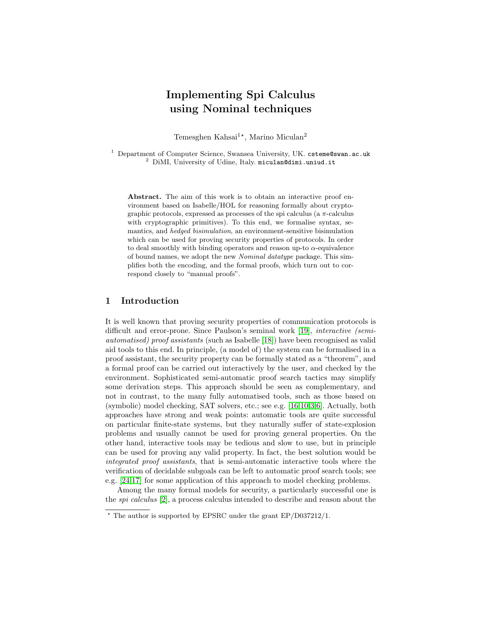# Implementing Spi Calculus using Nominal techniques

Temesghen Kahsai<sup>1\*</sup>, Marino Miculan<sup>2</sup>

 $1$  Department of Computer Science, Swansea University, UK. csteme@swan.ac.uk <sup>2</sup> DiMI, University of Udine, Italy. miculan@dimi.uniud.it

Abstract. The aim of this work is to obtain an interactive proof environment based on Isabelle/HOL for reasoning formally about cryptographic protocols, expressed as processes of the spi calculus (a  $\pi$ -calculus with cryptographic primitives). To this end, we formalise syntax, semantics, and hedged bisimulation, an environment-sensitive bisimulation which can be used for proving security properties of protocols. In order to deal smoothly with binding operators and reason up-to  $\alpha$ -equivalence of bound names, we adopt the new Nominal datatype package. This simplifies both the encoding, and the formal proofs, which turn out to correspond closely to "manual proofs".

## 1 Introduction

It is well known that proving security properties of communication protocols is difficult and error-prone. Since Paulson's seminal work [\[19\]](#page-10-0), *interactive (semi*automatised) proof assistants (such as Isabelle [\[18\]](#page-10-1)) have been recognised as valid aid tools to this end. In principle, (a model of) the system can be formalised in a proof assistant, the security property can be formally stated as a "theorem", and a formal proof can be carried out interactively by the user, and checked by the environment. Sophisticated semi-automatic proof search tactics may simplify some derivation steps. This approach should be seen as complementary, and not in contrast, to the many fully automatised tools, such as those based on (symbolic) model checking, SAT solvers, etc.; see e.g. [\[16,](#page-10-2)[10,](#page-10-3)[3,](#page-10-4)[6\]](#page-10-5). Actually, both approaches have strong and weak points: automatic tools are quite successful on particular finite-state systems, but they naturally suffer of state-explosion problems and usually cannot be used for proving general properties. On the other hand, interactive tools may be tedious and slow to use, but in principle can be used for proving any valid property. In fact, the best solution would be integrated proof assistants, that is semi-automatic interactive tools where the verification of decidable subgoals can be left to automatic proof search tools; see e.g. [\[24,](#page-10-6)[17\]](#page-10-7) for some application of this approach to model checking problems.

Among the many formal models for security, a particularly successful one is the spi calculus [\[2\]](#page-10-8), a process calculus intended to describe and reason about the

 $*$  The author is supported by EPSRC under the grant EP/D037212/1.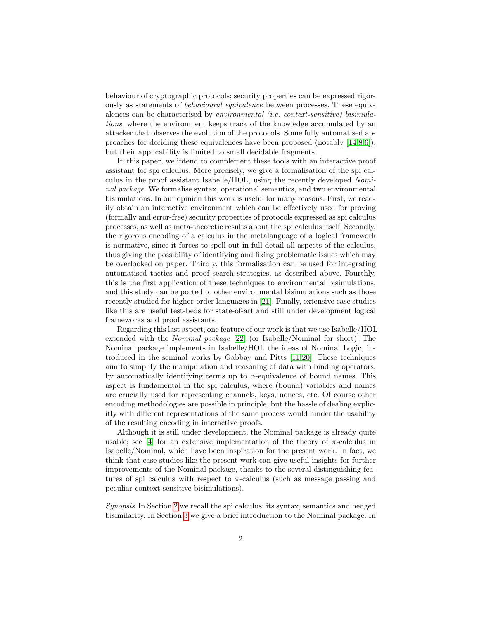behaviour of cryptographic protocols; security properties can be expressed rigorously as statements of behavioural equivalence between processes. These equivalences can be characterised by environmental (i.e. context-sensitive) bisimulations, where the environment keeps track of the knowledge accumulated by an attacker that observes the evolution of the protocols. Some fully automatised approaches for deciding these equivalences have been proposed (notably [\[14,](#page-10-9)[8](#page-10-10)[,6\]](#page-10-5)), but their applicability is limited to small decidable fragments.

In this paper, we intend to complement these tools with an interactive proof assistant for spi calculus. More precisely, we give a formalisation of the spi calculus in the proof assistant Isabelle/HOL, using the recently developed Nominal package. We formalise syntax, operational semantics, and two environmental bisimulations. In our opinion this work is useful for many reasons. First, we readily obtain an interactive environment which can be effectively used for proving (formally and error-free) security properties of protocols expressed as spi calculus processes, as well as meta-theoretic results about the spi calculus itself. Secondly, the rigorous encoding of a calculus in the metalanguage of a logical framework is normative, since it forces to spell out in full detail all aspects of the calculus, thus giving the possibility of identifying and fixing problematic issues which may be overlooked on paper. Thirdly, this formalisation can be used for integrating automatised tactics and proof search strategies, as described above. Fourthly, this is the first application of these techniques to environmental bisimulations, and this study can be ported to other environmental bisimulations such as those recently studied for higher-order languages in [\[21\]](#page-10-11). Finally, extensive case studies like this are useful test-beds for state-of-art and still under development logical frameworks and proof assistants.

Regarding this last aspect, one feature of our work is that we use Isabelle/HOL extended with the Nominal package [\[22\]](#page-10-12) (or Isabelle/Nominal for short). The Nominal package implements in Isabelle/HOL the ideas of Nominal Logic, introduced in the seminal works by Gabbay and Pitts [\[11](#page-10-13)[,20\]](#page-10-14). These techniques aim to simplify the manipulation and reasoning of data with binding operators, by automatically identifying terms up to  $\alpha$ -equivalence of bound names. This aspect is fundamental in the spi calculus, where (bound) variables and names are crucially used for representing channels, keys, nonces, etc. Of course other encoding methodologies are possible in principle, but the hassle of dealing explicitly with different representations of the same process would hinder the usability of the resulting encoding in interactive proofs.

Although it is still under development, the Nominal package is already quite usable; see [\[4\]](#page-10-15) for an extensive implementation of the theory of  $\pi$ -calculus in Isabelle/Nominal, which have been inspiration for the present work. In fact, we think that case studies like the present work can give useful insights for further improvements of the Nominal package, thanks to the several distinguishing features of spi calculus with respect to  $\pi$ -calculus (such as message passing and peculiar context-sensitive bisimulations).

Synopsis In Section [2](#page-2-0) we recall the spi calculus: its syntax, semantics and hedged bisimilarity. In Section [3](#page-4-0) we give a brief introduction to the Nominal package. In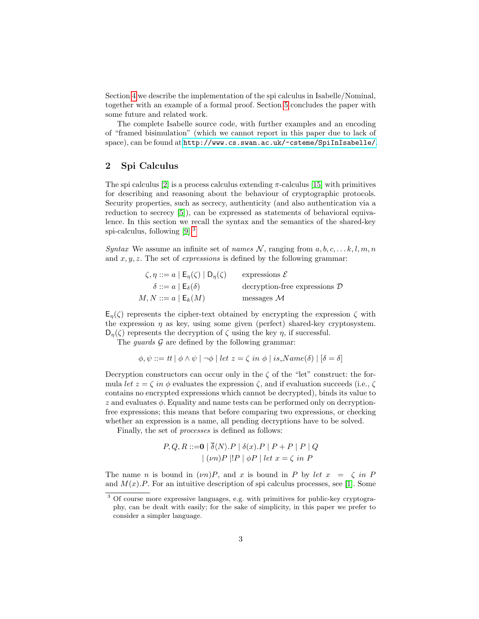Section [4](#page-5-0) we describe the implementation of the spi calculus in Isabelle/Nominal, together with an example of a formal proof. Section [5](#page-8-0) concludes the paper with some future and related work.

The complete Isabelle source code, with further examples and an encoding of "framed bisimulation" (which we cannot report in this paper due to lack of space), can be found at <http://www.cs.swan.ac.uk/~csteme/SpiInIsabelle/>.

## <span id="page-2-0"></span>2 Spi Calculus

The spi calculus [\[2\]](#page-10-8) is a process calculus extending  $\pi$ -calculus [\[15\]](#page-10-16) with primitives for describing and reasoning about the behaviour of cryptographic protocols. Security properties, such as secrecy, authenticity (and also authentication via a reduction to secrecy [\[5\]](#page-10-17)), can be expressed as statements of behavioral equivalence. In this section we recall the syntax and the semantics of the shared-key spi-calculus, following [\[9\]](#page-10-18).[3](#page-2-1)

Syntax We assume an infinite set of names N, ranging from  $a, b, c, \ldots k, l, m, n$ and  $x, y, z$ . The set of *expressions* is defined by the following grammar:

| $\zeta, \eta ::= a \mid \mathsf{E}_{\eta}(\zeta) \mid \mathsf{D}_{\eta}(\zeta)$ | expressions $\mathcal E$                 |
|---------------------------------------------------------------------------------|------------------------------------------|
| $\delta ::= a \mid \mathsf{E}_{\delta}(\delta)$                                 | decryption-free expressions $\mathcal D$ |
| $M, N ::= a   E_k(M)$                                                           | messages $\mathcal M$                    |

 $E_n(\zeta)$  represents the cipher-text obtained by encrypting the expression  $\zeta$  with the expression  $\eta$  as key, using some given (perfect) shared-key cryptosystem.  $D_n(\zeta)$  represents the decryption of  $\zeta$  using the key  $\eta$ , if successful.

The *quards*  $\mathcal G$  are defined by the following grammar:

$$
\phi, \psi ::= tt \mid \phi \land \psi \mid \neg \phi \mid let z = \zeta \text{ in } \phi \mid is\_Name(\delta) \mid [\delta = \delta]
$$

Decryption constructors can occur only in the  $\zeta$  of the "let" construct: the formula let  $z = \zeta$  in  $\phi$  evaluates the expression  $\zeta$ , and if evaluation succeeds (i.e.,  $\zeta$ contains no encrypted expressions which cannot be decrypted), binds its value to z and evaluates  $\phi$ . Equality and name tests can be performed only on decryptionfree expressions; this means that before comparing two expressions, or checking whether an expression is a name, all pending decryptions have to be solved.

Finally, the set of processes is defined as follows:

$$
P, Q, R ::= \mathbf{0} \mid \overline{\delta} \langle N \rangle. P \mid \delta(x). P \mid P + P \mid P \mid Q
$$
  
 
$$
\mid (vn)P \mid !P \mid \phi P \mid let x = \zeta \text{ in } P
$$

The name n is bound in  $(\nu n)P$ , and x is bound in P by let  $x = \zeta$  in P and  $M(x)$ . For an intuitive description of spi calculus processes, see [\[1\]](#page-9-0). Some

<span id="page-2-1"></span><sup>3</sup> Of course more expressive languages, e.g. with primitives for public-key cryptography, can be dealt with easily; for the sake of simplicity, in this paper we prefer to consider a simpler language.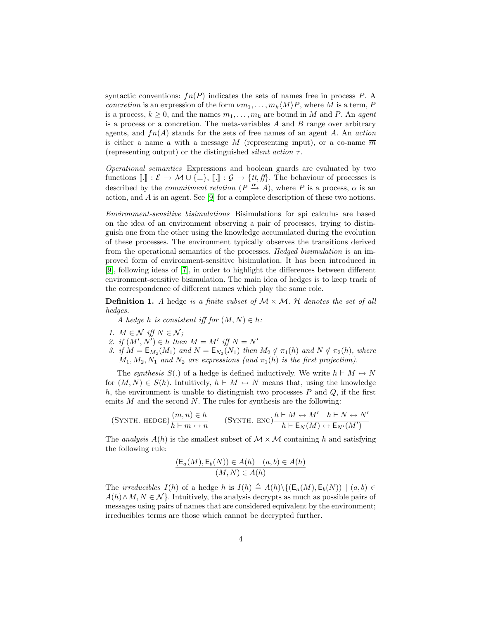syntactic conventions:  $fn(P)$  indicates the sets of names free in process P. A concretion is an expression of the form  $\nu m_1, \ldots, m_k\langle M \rangle P$ , where M is a term, P is a process,  $k \geq 0$ , and the names  $m_1, \ldots, m_k$  are bound in M and P. An agent is a process or a concretion. The meta-variables  $A$  and  $B$  range over arbitrary agents, and  $fn(A)$  stands for the sets of free names of an agent A. An action is either a name a with a message M (representing input), or a co-name  $\overline{m}$ (representing output) or the distinguished *silent action*  $\tau$ .

Operational semantics Expressions and boolean guards are evaluated by two functions  $[\![.]\!] : \mathcal{E} \to \mathcal{M} \cup \{\bot\}, [\![.]\!] : \mathcal{G} \to \{ \mathit{tt}, \mathit{ff} \}$ . The behaviour of processes is described by the *commitment relation*  $(P \xrightarrow{\alpha} A)$ , where P is a process,  $\alpha$  is an action, and A is an agent. See [\[9\]](#page-10-18) for a complete description of these two notions.

Environment-sensitive bisimulations Bisimulations for spi calculus are based on the idea of an environment observing a pair of processes, trying to distinguish one from the other using the knowledge accumulated during the evolution of these processes. The environment typically observes the transitions derived from the operational semantics of the processes. Hedged bisimulation is an improved form of environment-sensitive bisimulation. It has been introduced in [\[9\]](#page-10-18), following ideas of [\[7\]](#page-10-19), in order to highlight the differences between different environment-sensitive bisimulation. The main idea of hedges is to keep track of the correspondence of different names which play the same role.

**Definition 1.** A hedge is a finite subset of  $M \times M$ . H denotes the set of all hedges.

<span id="page-3-0"></span>A hedge h is consistent iff for  $(M, N) \in h$ :

- 1.  $M \in \mathcal{N}$  iff  $N \in \mathcal{N}$ :
- 2. if  $(M', N') \in h$  then  $M = M'$  iff  $N = N'$
- 3. if  $M = \mathsf{E}_{M_2}(M_1)$  and  $N = \mathsf{E}_{N_2}(N_1)$  then  $M_2 \notin \pi_1(h)$  and  $N \notin \pi_2(h)$ , where  $M_1, M_2, N_1$  and  $N_2$  are expressions (and  $\pi_1(h)$  is the first projection).

The synthesis S(.) of a hedge is defined inductively. We write  $h \vdash M \leftrightarrow N$ for  $(M, N) \in S(h)$ . Intuitively,  $h \vdash M \leftrightarrow N$  means that, using the knowledge h, the environment is unable to distinguish two processes  $P$  and  $Q$ , if the first emits  $M$  and the second  $N$ . The rules for synthesis are the following:

$$
(\text{SYNTH. HeDGE})\frac{(m,n)\in h}{h\vdash m\leftrightarrow n}\qquad (\text{SYNTH. ENC})\frac{h\vdash M\leftrightarrow M'\quad h\vdash N\leftrightarrow N'}{h\vdash \mathsf{E}_N(M)\leftrightarrow \mathsf{E}_{N'}(M')}
$$

The *analysis*  $A(h)$  is the smallest subset of  $M \times M$  containing h and satisfying the following rule:

$$
\frac{(\mathsf{E}_a(M), \mathsf{E}_b(N)) \in A(h) \quad (a, b) \in A(h)}{(M, N) \in A(h)}
$$

The *irreducibles*  $I(h)$  of a hedge h is  $I(h) \triangleq A(h)\{(\mathsf{E}_a(M), \mathsf{E}_b(N)) | (a, b) \in$  $A(h) \wedge M, N \in \mathcal{N}$ . Intuitively, the analysis decrypts as much as possible pairs of messages using pairs of names that are considered equivalent by the environment; irreducibles terms are those which cannot be decrypted further.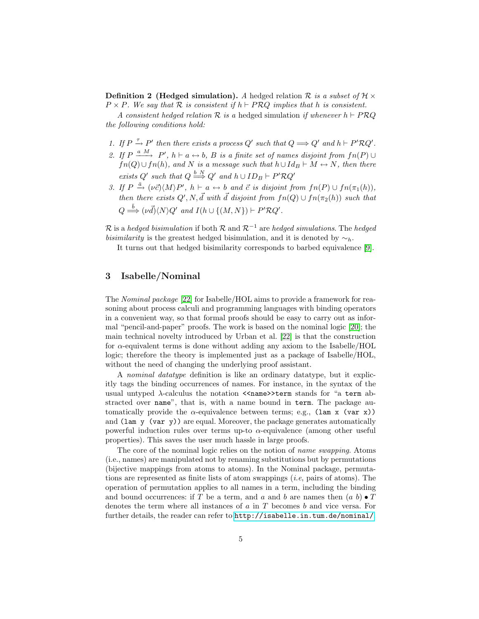**Definition 2** (Hedged simulation). A hedged relation R is a subset of  $H \times$  $P \times P$ . We say that R is consistent if  $h \vdash PRQ$  implies that h is consistent.

A consistent hedged relation  $\mathcal R$  is a hedged simulation if whenever  $h \vdash PRQ$ the following conditions hold:

- 1. If  $P \xrightarrow{\tau} P'$  then there exists a process  $Q'$  such that  $Q \Longrightarrow Q'$  and  $h \vdash P' R Q'$ .
- 2. If  $P \xrightarrow{a M} P'$ ,  $h \vdash a \leftrightarrow b$ , B is a finite set of names disjoint from  $fn(P) \cup$  $fn(Q) \cup fn(h)$ , and N is a message such that  $h \cup Id_B \vdash M \leftrightarrow N$ , then there exists Q' such that  $Q \stackrel{b \ N}{\Longrightarrow} Q'$  and  $h \cup ID_B \vdash P' \mathcal{R} Q'$
- 3. If  $P \stackrel{\bar{a}}{\rightarrow} (\nu \vec{c}) \langle M \rangle P'$ ,  $h \vdash a \leftrightarrow b$  and  $\vec{c}$  is disjoint from  $fn(P) \cup fn(\pi_1(h)),$ then there exists  $Q', N, \vec{d}$  with  $\vec{d}$  disjoint from  $fn(Q) \cup fn(\pi_2(h))$  such that  $Q \stackrel{\bar b}{\Longrightarrow} (\nu \vec{d}) \langle N \rangle Q'$  and  $I(h \cup \{(M, N\}) \vdash P' \mathcal{R} Q'.$

R is a hedged bisimulation if both R and  $\mathcal{R}^{-1}$  are hedged simulations. The hedged *bisimilarity* is the greatest hedged bisimulation, and it is denoted by  $\sim_h$ .

It turns out that hedged bisimilarity corresponds to barbed equivalence [\[9\]](#page-10-18).

## <span id="page-4-0"></span>3 Isabelle/Nominal

The Nominal package [\[22\]](#page-10-12) for Isabelle/HOL aims to provide a framework for reasoning about process calculi and programming languages with binding operators in a convenient way, so that formal proofs should be easy to carry out as informal "pencil-and-paper" proofs. The work is based on the nominal logic [\[20\]](#page-10-14); the main technical novelty introduced by Urban et al. [\[22\]](#page-10-12) is that the construction for  $\alpha$ -equivalent terms is done without adding any axiom to the Isabelle/HOL logic; therefore the theory is implemented just as a package of Isabelle/HOL, without the need of changing the underlying proof assistant.

A nominal datatype definition is like an ordinary datatype, but it explicitly tags the binding occurrences of names. For instance, in the syntax of the usual untyped  $\lambda$ -calculus the notation  $\leq$ name>>term stands for "a term abstracted over name", that is, with a name bound in term. The package automatically provide the  $\alpha$ -equivalence between terms; e.g., (lam x (var x)) and (lam y (var y)) are equal. Moreover, the package generates automatically powerful induction rules over terms up-to  $\alpha$ -equivalence (among other useful properties). This saves the user much hassle in large proofs.

The core of the nominal logic relies on the notion of *name swapping*. Atoms (i.e., names) are manipulated not by renaming substitutions but by permutations (bijective mappings from atoms to atoms). In the Nominal package, permutations are represented as finite lists of atom swappings  $(i.e., pairs of atoms)$ . The operation of permutation applies to all names in a term, including the binding and bound occurrences: if T be a term, and a and b are names then  $(a, b) \bullet T$ denotes the term where all instances of  $a$  in  $T$  becomes  $b$  and vice versa. For further details, the reader can refer to <http://isabelle.in.tum.de/nominal/>.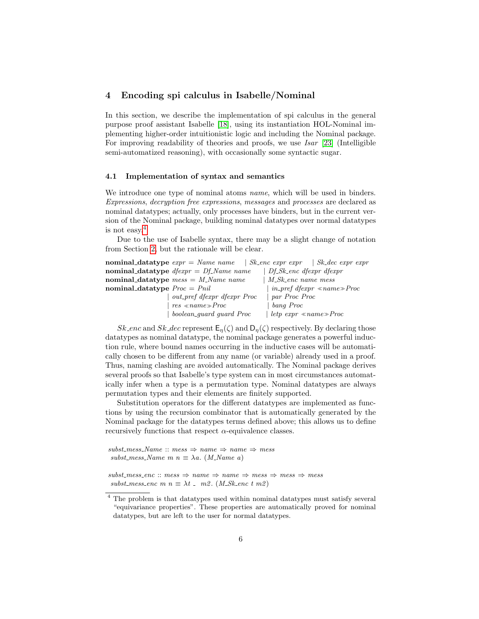## <span id="page-5-0"></span>4 Encoding spi calculus in Isabelle/Nominal

In this section, we describe the implementation of spi calculus in the general purpose proof assistant Isabelle [\[18\]](#page-10-1), using its instantiation HOL-Nominal implementing higher-order intuitionistic logic and including the Nominal package. For improving readability of theories and proofs, we use Isar [\[23\]](#page-10-20) (Intelligible semi-automatized reasoning), with occasionally some syntactic sugar.

### 4.1 Implementation of syntax and semantics

We introduce one type of nominal atoms *name*, which will be used in binders. Expressions, decryption free expressions, messages and processes are declared as nominal datatypes; actually, only processes have binders, but in the current version of the Nominal package, building nominal datatypes over normal datatypes is not easy.[4](#page-5-1)

Due to the use of Isabelle syntax, there may be a slight change of notation from Section [2,](#page-2-0) but the rationale will be clear.

|                                | <b>nominal_datatype</b> $expr = Name$ name $ Sk\text{-}enc$ expr $expr =   Sk\text{-}dec$ expr expr |                                   |                                             |
|--------------------------------|-----------------------------------------------------------------------------------------------------|-----------------------------------|---------------------------------------------|
|                                | nominal_datatype $d \text{fexpr} = \text{Df} \text{.} Name name$                                    | $ Df_Sk$ enc dfexpr dfexpr        |                                             |
|                                | nominal_datatype $mess = M_N$ ame name                                                              | $\mid$ M_Sk_enc name mess         |                                             |
| nominal_datatype $Proc = Phil$ |                                                                                                     |                                   | $\mid$ in_pref dfexpr $\ll$ name $\gg$ Proc |
|                                | <i>out_pref dfexpr dfexpr Proc</i>                                                                  | ~par~Proc~Proc~                   |                                             |
|                                | $res \ll name \gg Proc$                                                                             | bang Proc                         |                                             |
|                                | boolean_quard quard Proc                                                                            | $letp \; expr \; \& name \; Proc$ |                                             |

Sk enc and Sk dec represent  $\mathsf{E}_\eta(\zeta)$  and  $\mathsf{D}_\eta(\zeta)$  respectively. By declaring those datatypes as nominal datatype, the nominal package generates a powerful induction rule, where bound names occurring in the inductive cases will be automatically chosen to be different from any name (or variable) already used in a proof. Thus, naming clashing are avoided automatically. The Nominal package derives several proofs so that Isabelle's type system can in most circumstances automatically infer when a type is a permutation type. Nominal datatypes are always permutation types and their elements are finitely supported.

Substitution operators for the different datatypes are implemented as functions by using the recursion combinator that is automatically generated by the Nominal package for the datatypes terms defined above; this allows us to define recursively functions that respect  $\alpha$ -equivalence classes.

 $subst\_mess\_Name :: mess \Rightarrow name \Rightarrow name \Rightarrow mess$ subst\_mess\_Name m  $n \equiv \lambda a$ . (M\_Name a)

 $substr$ = $enc :: mes \Rightarrow name \Rightarrow name \Rightarrow mess \Rightarrow mess \Rightarrow mess$ subst\_mess\_enc m  $n \equiv \lambda t$  \_ m2. (M\_Sk\_enc t m2)

<span id="page-5-1"></span><sup>&</sup>lt;sup>4</sup> The problem is that datatypes used within nominal datatypes must satisfy several "equivariance properties". These properties are automatically proved for nominal datatypes, but are left to the user for normal datatypes.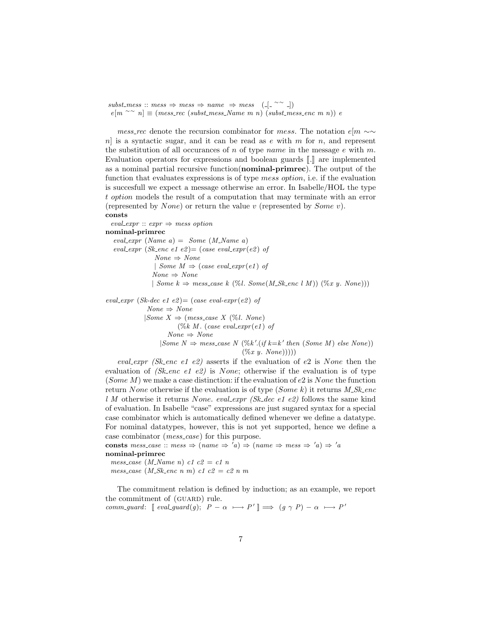$subst-mess :: mess \Rightarrow mess \Rightarrow name \Rightarrow mess \quad ([- \sim \sim \sim])$  $e[m \sim n]$  ≡ (mess\_rec (subst\_mess\_Name m n) (subst\_mess\_enc m n)) e

mess\_rec denote the recursion combinator for mess. The notation  $e[m \sim \sim$  $n$  is a syntactic sugar, and it can be read as e with m for n, and represent the substitution of all occurances of n of type name in the message  $e$  with  $m$ . Evaluation operators for expressions and boolean guards  $\llbracket . \rrbracket$  are implemented as a nominal partial recursive function(nominal-primrec). The output of the function that evaluates expressions is of type mess option, i.e. if the evaluation is succesfull we expect a message otherwise an error. In Isabelle/HOL the type t option models the result of a computation that may terminate with an error (represented by *None*) or return the value v (represented by *Some v*).

### consts

eval\_expr ::  $expr \Rightarrow mess option$ nominal-primrec eval\_expr  $(Name\ a) = Some\ (M_Name\ a)$ eval\_expr (Sk\_enc e1 e2) = (case eval\_expr(e2) of  $None \Rightarrow None$ | Some  $M \Rightarrow$  (case eval\_expr(e1) of  $None \Rightarrow None$ | Some  $k \Rightarrow$  mess\_case k (%l. Some(M\_Sk\_enc l M)) (%x y. None))) eval\_expr (Sk-dec e1 e2) = (case eval-expr(e2) of

 $None \Rightarrow None$  $|Some\ X \Rightarrow (message\ X\ (\%)l. None)$  $(\%k M.$  (case eval\_expr(e1) of  $None \Rightarrow None$  $|Some\ N \Rightarrow mess-case\ N\ (\%k'.(if\ k=k' \ then\ (Some\ M) \ else\ None))$  $(\%x \ y. \ None))$ 

eval expr (Sk enc e1 e2) asserts if the evaluation of e2 is None then the evaluation of  $(Sk\_{enc}$  e2) is None; otherwise if the evaluation is of type (Some  $M$ ) we make a case distinction: if the evaluation of  $e2$  is None the function return None otherwise if the evaluation is of type (Some k) it returns  $M_{\sim} Sk_{\sim}$ enc l M otherwise it returns None. eval\_expr (Sk\_dec e1 e2) follows the same kind of evaluation. In Isabelle "case" expressions are just sugared syntax for a special case combinator which is automatically defined whenever we define a datatype. For nominal datatypes, however, this is not yet supported, hence we define a case combinator (*mess\_case*) for this purpose.

consts mess\_case :: mess  $\Rightarrow$  (name  $\Rightarrow$  'a)  $\Rightarrow$  (name  $\Rightarrow$  mess  $\Rightarrow$  'a)  $\Rightarrow$  'a nominal-primrec mess\_case  $(M_0)$  name n  $c1$  c2 = c1 n

mess\_case (M\_Sk\_enc n m) c1 c2 = c2 n m

The commitment relation is defined by induction; as an example, we report the commitment of (GUARD) rule. comm\_guard:  $[eval\_guard(g); P - \alpha \longmapsto P' ] \implies (g \gamma P) - \alpha \longmapsto P'$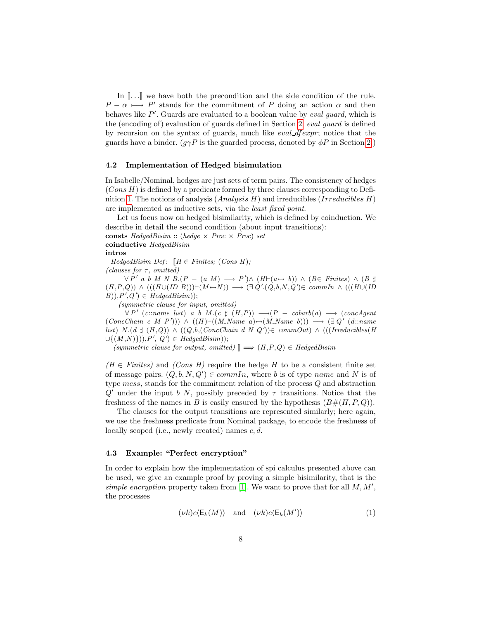In  $\lbrack \ldots \rbrack$  we have both the precondition and the side condition of the rule.  $P - \alpha \longmapsto P'$  stands for the commitment of P doing an action  $\alpha$  and then behaves like  $P'$ . Guards are evaluated to a boolean value by *eval\_guard*, which is the (encoding of) evaluation of guards defined in Section [2.](#page-2-0) eval guard is defined by recursion on the syntax of guards, much like eval dfexpr; notice that the guards have a binder. ( $g\gamma P$  is the guarded process, denoted by  $\phi P$  in Section [2.](#page-2-0))

#### 4.2 Implementation of Hedged bisimulation

In Isabelle/Nominal, hedges are just sets of term pairs. The consistency of hedges  $(Cons H)$  is defined by a predicate formed by three clauses corresponding to Defi-nition [1.](#page-3-0) The notions of analysis  $(Analysis H)$  and irreducibles  $(Irreducibles H)$ are implemented as inductive sets, via the least fixed point.

Let us focus now on hedged bisimilarity, which is defined by coinduction. We describe in detail the second condition (about input transitions):

consts HedgedBisim :: (hedge  $\times$  Proc  $\times$  Proc) set coinductive HedgedBisim

#### intros

 $H$ edgedBisim\_Def:  $\llbracket H \in Finites; (Cons H);$ (clauses for  $\tau$ , omitted)

 $\forall P' \ a \ b \ M \ N \ B. (P - (a \ M) \longmapsto P') \wedge (H \vdash (a \leftrightarrow b)) \ \wedge (B \in Finites) \ \wedge (B \ \sharp)$  $(H, P, Q)$ )  $\land$   $(((H \cup (ID \ B))) \vdash (M \leftrightarrow N)) \longrightarrow (\exists Q'.(Q, b, N, Q') \in commIn \land (((H \cup (ID \ B))) \rightarrow (H \leftrightarrow N))$  $(B), P', Q' \in HedgeBism$ );

(symmetric clause for input, omitted)

 $\forall P'$  (c::name list) a b M.(c  $\sharp$   $(H,P)$ )  $\longrightarrow$   $(P - \text{cobarb}(a) \longmapsto$  (concAgent  $(ConcChain \ c \ M \ P'))$   $\land \ ((H) \vdash ((M) \ A \ m \ e \ a) \leftrightarrow (M) \ N \ a \ m \ e \ b)))$   $\longrightarrow (\exists Q' \ (d) \ ... \ a \ m \ e \ b)$ list) N.(d  $\sharp$  (H,Q)) ∧ ((Q,b,(ConcChain d N Q'))∈ commOut) ∧ (((Irreducibles(H  $\cup \{(M,N)\}\)$ ,  $P', Q' \in HedgeBism$ );

(symmetric clause for output, omitted)  $\mathbb{I} \Longrightarrow (H,P,Q) \in H$ edgedBisim

 $(H \in Finites)$  and  $(Cons H)$  require the hedge H to be a consistent finite set of message pairs.  $(Q, b, N, Q') \in commIn$ , where b is of type name and N is of type mess, stands for the commitment relation of the process Q and abstraction  $Q'$  under the input b N, possibly preceded by  $\tau$  transitions. Notice that the freshness of the names in B is easily ensured by the hypothesis  $(B\#(H, P, Q)).$ 

The clauses for the output transitions are represented similarly; here again, we use the freshness predicate from Nominal package, to encode the freshness of locally scoped (i.e., newly created) names  $c, d$ .

## 4.3 Example: "Perfect encryption"

In order to explain how the implementation of spi calculus presented above can be used, we give an example proof by proving a simple bisimilarity, that is the simple encryption property taken from [\[1\]](#page-9-0). We want to prove that for all  $M, M',$ the processes

$$
(\nu k)\overline{c}\langle \mathsf{E}_k(M)\rangle \quad \text{and} \quad (\nu k)\overline{c}\langle \mathsf{E}_k(M')\rangle \tag{1}
$$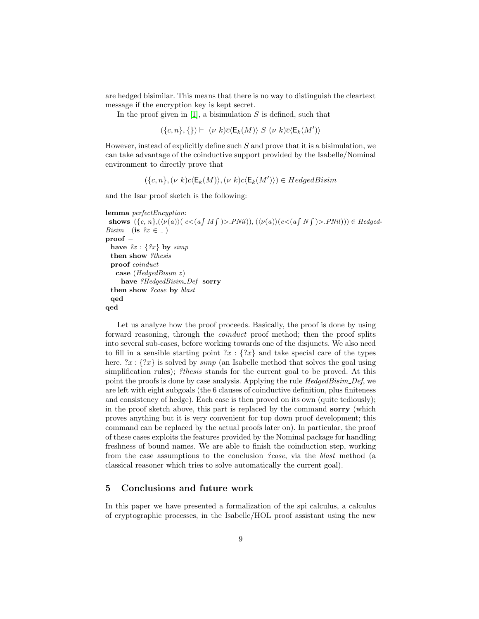are hedged bisimilar. This means that there is no way to distinguish the cleartext message if the encryption key is kept secret.

In the proof given in  $[1]$ , a bisimulation S is defined, such that

$$
(\{c, n\}, \{\}) \vdash \ (\nu \ k)\overline{c}\langle \mathsf{E}_k(M) \rangle \ S \ (\nu \ k)\overline{c}\langle \mathsf{E}_k(M') \rangle
$$

However, instead of explicitly define such  $S$  and prove that it is a bisimulation, we can take advantage of the coinductive support provided by the Isabelle/Nominal environment to directly prove that

 $(\{c, n\}, (\nu \ k)\overline{c} \langle \mathsf{E}_k(M) \rangle, (\nu \ k)\overline{c} \langle \mathsf{E}_k(M') \rangle) \in HedgeB$ 

and the Isar proof sketch is the following:

```
lemma perfectEncyption:
 shows (\{c, n\}, (\langle \nu(a) \rangle (c \langle a \int M \int \rangle) > PNil)), (\langle \nu(a) \rangle (c \langle a \int N \int \rangle) > PNil))) \in HedgedBisim (is ?x \in \square)
proof −
 have \{x : \{x\} by simp
  then show ?thesis
  proof coinduct
   case (HedgedBisim z)
     have ?HedgedBisim_Def sorry
  then show ?case by blast
  qed
qed
```
Let us analyze how the proof proceeds. Basically, the proof is done by using forward reasoning, through the *coinduct* proof method; then the proof splits into several sub-cases, before working towards one of the disjuncts. We also need to fill in a sensible starting point  $x : \{2x\}$  and take special care of the types here.  $x : \{?x\}$  is solved by *simp* (an Isabelle method that solves the goal using simplification rules); *?thesis* stands for the current goal to be proved. At this point the proofs is done by case analysis. Applying the rule HedgedBisim Def, we are left with eight subgoals (the 6 clauses of coinductive definition, plus finiteness and consistency of hedge). Each case is then proved on its own (quite tediously); in the proof sketch above, this part is replaced by the command sorry (which proves anything but it is very convenient for top down proof development; this command can be replaced by the actual proofs later on). In particular, the proof of these cases exploits the features provided by the Nominal package for handling freshness of bound names. We are able to finish the coinduction step, working from the case assumptions to the conclusion ?case, via the blast method (a classical reasoner which tries to solve automatically the current goal).

## <span id="page-8-0"></span>5 Conclusions and future work

In this paper we have presented a formalization of the spi calculus, a calculus of cryptographic processes, in the Isabelle/HOL proof assistant using the new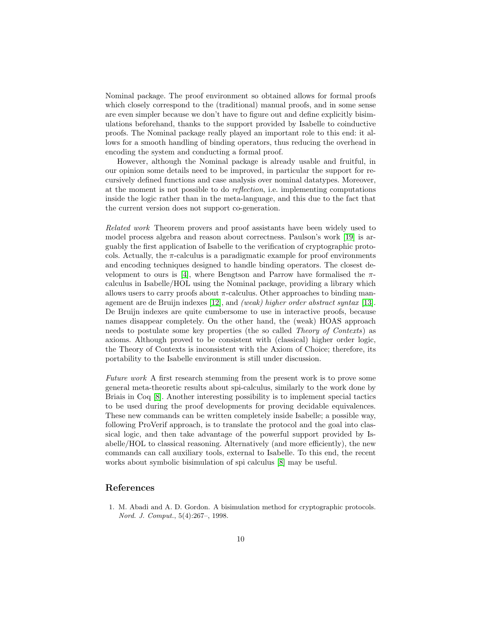Nominal package. The proof environment so obtained allows for formal proofs which closely correspond to the (traditional) manual proofs, and in some sense are even simpler because we don't have to figure out and define explicitly bisimulations beforehand, thanks to the support provided by Isabelle to coinductive proofs. The Nominal package really played an important role to this end: it allows for a smooth handling of binding operators, thus reducing the overhead in encoding the system and conducting a formal proof.

However, although the Nominal package is already usable and fruitful, in our opinion some details need to be improved, in particular the support for recursively defined functions and case analysis over nominal datatypes. Moreover, at the moment is not possible to do reflection, i.e. implementing computations inside the logic rather than in the meta-language, and this due to the fact that the current version does not support co-generation.

Related work Theorem provers and proof assistants have been widely used to model process algebra and reason about correctness. Paulson's work [\[19\]](#page-10-0) is arguably the first application of Isabelle to the verification of cryptographic protocols. Actually, the  $\pi$ -calculus is a paradigmatic example for proof environments and encoding techniques designed to handle binding operators. The closest de-velopment to ours is [\[4\]](#page-10-15), where Bengtson and Parrow have formalised the  $\pi$ calculus in Isabelle/HOL using the Nominal package, providing a library which allows users to carry proofs about  $\pi$ -calculus. Other approaches to binding man-agement are de Bruijn indexes [\[12\]](#page-10-21), and *(weak) higher order abstract syntax* [\[13\]](#page-10-22). De Bruijn indexes are quite cumbersome to use in interactive proofs, because names disappear completely. On the other hand, the (weak) HOAS approach needs to postulate some key properties (the so called Theory of Contexts) as axioms. Although proved to be consistent with (classical) higher order logic, the Theory of Contexts is inconsistent with the Axiom of Choice; therefore, its portability to the Isabelle environment is still under discussion.

Future work A first research stemming from the present work is to prove some general meta-theoretic results about spi-calculus, similarly to the work done by Briais in Coq [\[8\]](#page-10-10). Another interesting possibility is to implement special tactics to be used during the proof developments for proving decidable equivalences. These new commands can be written completely inside Isabelle; a possible way, following ProVerif approach, is to translate the protocol and the goal into classical logic, and then take advantage of the powerful support provided by Isabelle/HOL to classical reasoning. Alternatively (and more efficiently), the new commands can call auxiliary tools, external to Isabelle. To this end, the recent works about symbolic bisimulation of spi calculus [\[8\]](#page-10-10) may be useful.

# References

<span id="page-9-0"></span>1. M. Abadi and A. D. Gordon. A bisimulation method for cryptographic protocols. Nord. J. Comput., 5(4):267–, 1998.